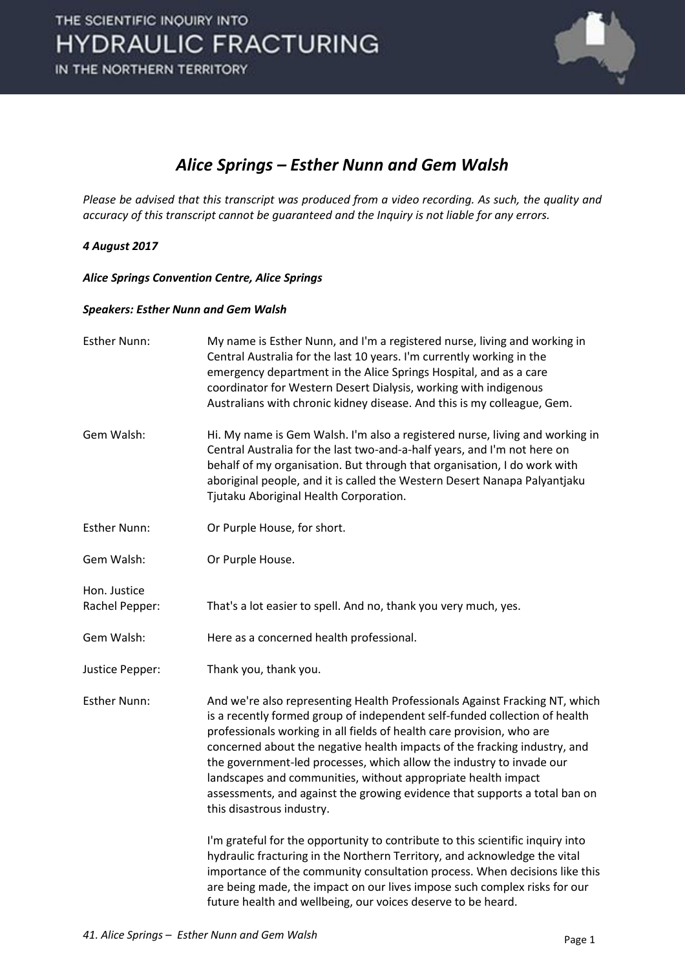

#### *Alice Springs – Esther Nunn and Gem Walsh*

*Please be advised that this transcript was produced from a video recording. As such, the quality and accuracy of this transcript cannot be guaranteed and the Inquiry is not liable for any errors.*

#### *4 August 2017*

*Alice Springs Convention Centre, Alice Springs* 

#### *Speakers: Esther Nunn and Gem Walsh*

| <b>Esther Nunn:</b>            | My name is Esther Nunn, and I'm a registered nurse, living and working in<br>Central Australia for the last 10 years. I'm currently working in the<br>emergency department in the Alice Springs Hospital, and as a care<br>coordinator for Western Desert Dialysis, working with indigenous<br>Australians with chronic kidney disease. And this is my colleague, Gem.                                                                                                                                                                                              |
|--------------------------------|---------------------------------------------------------------------------------------------------------------------------------------------------------------------------------------------------------------------------------------------------------------------------------------------------------------------------------------------------------------------------------------------------------------------------------------------------------------------------------------------------------------------------------------------------------------------|
| Gem Walsh:                     | Hi. My name is Gem Walsh. I'm also a registered nurse, living and working in<br>Central Australia for the last two-and-a-half years, and I'm not here on<br>behalf of my organisation. But through that organisation, I do work with<br>aboriginal people, and it is called the Western Desert Nanapa Palyantjaku<br>Tjutaku Aboriginal Health Corporation.                                                                                                                                                                                                         |
| <b>Esther Nunn:</b>            | Or Purple House, for short.                                                                                                                                                                                                                                                                                                                                                                                                                                                                                                                                         |
| Gem Walsh:                     | Or Purple House.                                                                                                                                                                                                                                                                                                                                                                                                                                                                                                                                                    |
| Hon. Justice<br>Rachel Pepper: | That's a lot easier to spell. And no, thank you very much, yes.                                                                                                                                                                                                                                                                                                                                                                                                                                                                                                     |
| Gem Walsh:                     | Here as a concerned health professional.                                                                                                                                                                                                                                                                                                                                                                                                                                                                                                                            |
| Justice Pepper:                | Thank you, thank you.                                                                                                                                                                                                                                                                                                                                                                                                                                                                                                                                               |
| <b>Esther Nunn:</b>            | And we're also representing Health Professionals Against Fracking NT, which<br>is a recently formed group of independent self-funded collection of health<br>professionals working in all fields of health care provision, who are<br>concerned about the negative health impacts of the fracking industry, and<br>the government-led processes, which allow the industry to invade our<br>landscapes and communities, without appropriate health impact<br>assessments, and against the growing evidence that supports a total ban on<br>this disastrous industry. |
|                                | I'm grateful for the opportunity to contribute to this scientific inquiry into<br>hydraulic fracturing in the Northern Territory, and acknowledge the vital<br>importance of the community consultation process. When decisions like this<br>are being made, the impact on our lives impose such complex risks for our<br>future health and wellbeing, our voices deserve to be heard.                                                                                                                                                                              |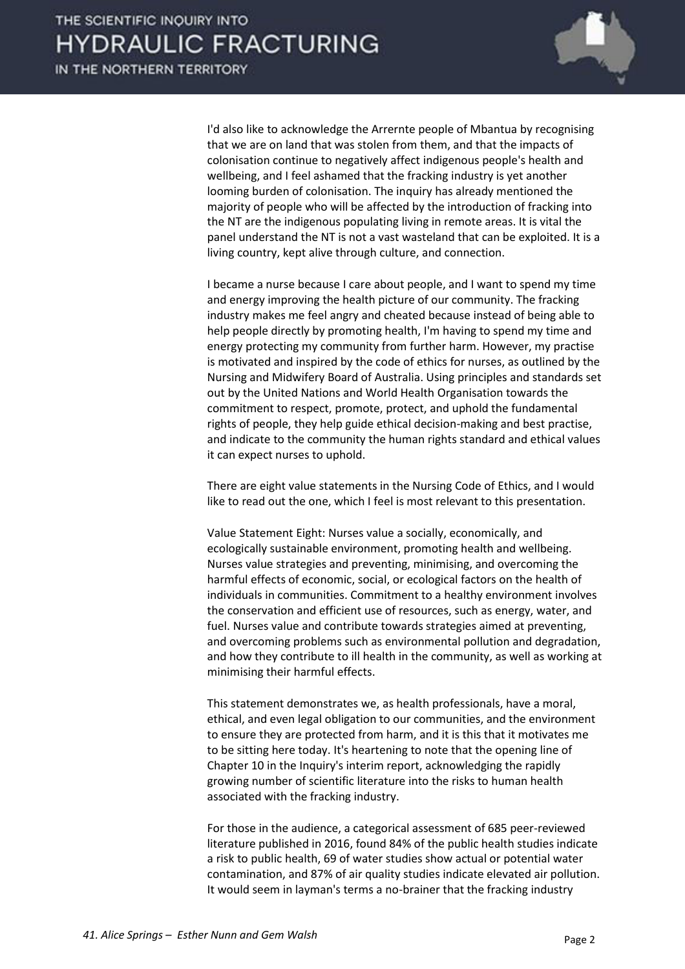

 I'd also like to acknowledge the Arrernte people of Mbantua by recognising that we are on land that was stolen from them, and that the impacts of colonisation continue to negatively affect indigenous people's health and wellbeing, and I feel ashamed that the fracking industry is yet another looming burden of colonisation. The inquiry has already mentioned the majority of people who will be affected by the introduction of fracking into the NT are the indigenous populating living in remote areas. It is vital the panel understand the NT is not a vast wasteland that can be exploited. It is a living country, kept alive through culture, and connection.

 I became a nurse because I care about people, and I want to spend my time and energy improving the health picture of our community. The fracking industry makes me feel angry and cheated because instead of being able to help people directly by promoting health, I'm having to spend my time and energy protecting my community from further harm. However, my practise is motivated and inspired by the code of ethics for nurses, as outlined by the Nursing and Midwifery Board of Australia. Using principles and standards set out by the United Nations and World Health Organisation towards the commitment to respect, promote, protect, and uphold the fundamental rights of people, they help guide ethical decision-making and best practise, and indicate to the community the human rights standard and ethical values it can expect nurses to uphold.

 There are eight value statements in the Nursing Code of Ethics, and I would like to read out the one, which I feel is most relevant to this presentation.

 Value Statement Eight: Nurses value a socially, economically, and ecologically sustainable environment, promoting health and wellbeing. Nurses value strategies and preventing, minimising, and overcoming the harmful effects of economic, social, or ecological factors on the health of individuals in communities. Commitment to a healthy environment involves the conservation and efficient use of resources, such as energy, water, and fuel. Nurses value and contribute towards strategies aimed at preventing, and overcoming problems such as environmental pollution and degradation, and how they contribute to ill health in the community, as well as working at minimising their harmful effects.

 This statement demonstrates we, as health professionals, have a moral, ethical, and even legal obligation to our communities, and the environment to ensure they are protected from harm, and it is this that it motivates me to be sitting here today. It's heartening to note that the opening line of Chapter 10 in the Inquiry's interim report, acknowledging the rapidly growing number of scientific literature into the risks to human health associated with the fracking industry.

 For those in the audience, a categorical assessment of 685 peer-reviewed literature published in 2016, found 84% of the public health studies indicate a risk to public health, 69 of water studies show actual or potential water contamination, and 87% of air quality studies indicate elevated air pollution. It would seem in layman's terms a no-brainer that the fracking industry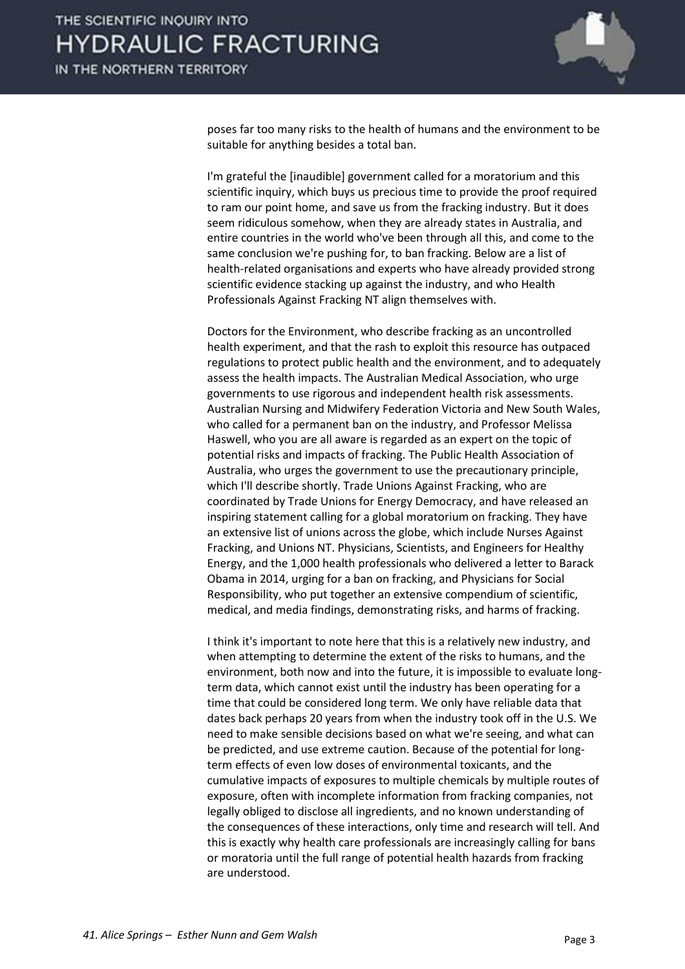

poses far too many risks to the health of humans and the environment to be suitable for anything besides a total ban.

 I'm grateful the [inaudible] government called for a moratorium and this scientific inquiry, which buys us precious time to provide the proof required to ram our point home, and save us from the fracking industry. But it does seem ridiculous somehow, when they are already states in Australia, and entire countries in the world who've been through all this, and come to the same conclusion we're pushing for, to ban fracking. Below are a list of health-related organisations and experts who have already provided strong scientific evidence stacking up against the industry, and who Health Professionals Against Fracking NT align themselves with.

 Doctors for the Environment, who describe fracking as an uncontrolled health experiment, and that the rash to exploit this resource has outpaced regulations to protect public health and the environment, and to adequately assess the health impacts. The Australian Medical Association, who urge governments to use rigorous and independent health risk assessments. Australian Nursing and Midwifery Federation Victoria and New South Wales, who called for a permanent ban on the industry, and Professor Melissa Haswell, who you are all aware is regarded as an expert on the topic of potential risks and impacts of fracking. The Public Health Association of Australia, who urges the government to use the precautionary principle, which I'll describe shortly. Trade Unions Against Fracking, who are coordinated by Trade Unions for Energy Democracy, and have released an inspiring statement calling for a global moratorium on fracking. They have an extensive list of unions across the globe, which include Nurses Against Fracking, and Unions NT. Physicians, Scientists, and Engineers for Healthy Energy, and the 1,000 health professionals who delivered a letter to Barack Obama in 2014, urging for a ban on fracking, and Physicians for Social Responsibility, who put together an extensive compendium of scientific, medical, and media findings, demonstrating risks, and harms of fracking.

 I think it's important to note here that this is a relatively new industry, and when attempting to determine the extent of the risks to humans, and the environment, both now and into the future, it is impossible to evaluate longterm data, which cannot exist until the industry has been operating for a time that could be considered long term. We only have reliable data that dates back perhaps 20 years from when the industry took off in the U.S. We need to make sensible decisions based on what we're seeing, and what can be predicted, and use extreme caution. Because of the potential for longterm effects of even low doses of environmental toxicants, and the cumulative impacts of exposures to multiple chemicals by multiple routes of exposure, often with incomplete information from fracking companies, not legally obliged to disclose all ingredients, and no known understanding of the consequences of these interactions, only time and research will tell. And this is exactly why health care professionals are increasingly calling for bans or moratoria until the full range of potential health hazards from fracking are understood.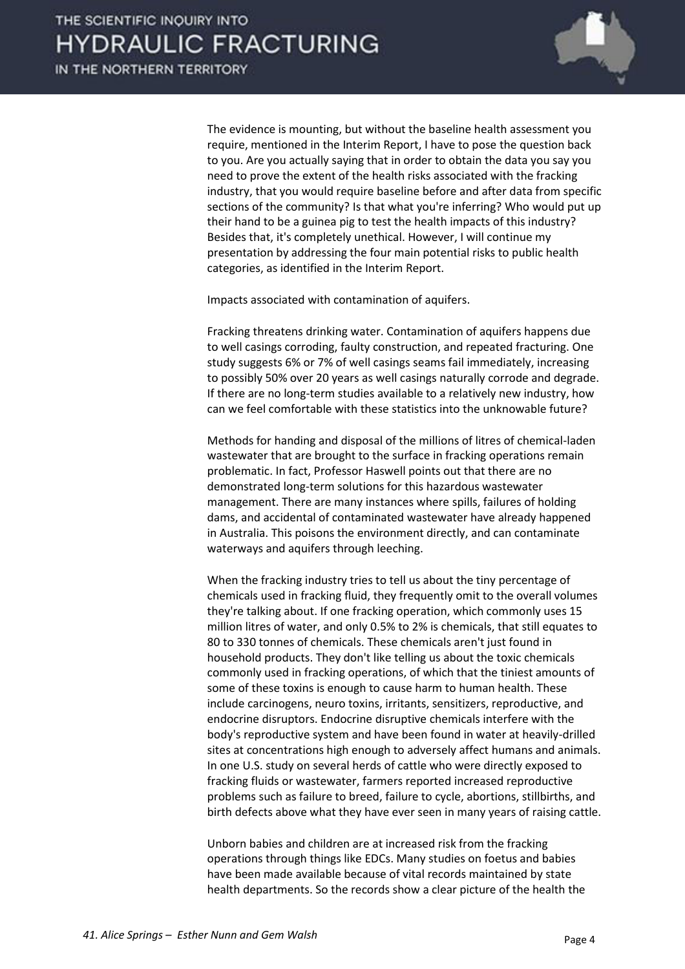

 The evidence is mounting, but without the baseline health assessment you require, mentioned in the Interim Report, I have to pose the question back to you. Are you actually saying that in order to obtain the data you say you need to prove the extent of the health risks associated with the fracking industry, that you would require baseline before and after data from specific sections of the community? Is that what you're inferring? Who would put up their hand to be a guinea pig to test the health impacts of this industry? Besides that, it's completely unethical. However, I will continue my presentation by addressing the four main potential risks to public health categories, as identified in the Interim Report.

Impacts associated with contamination of aquifers.

 Fracking threatens drinking water. Contamination of aquifers happens due to well casings corroding, faulty construction, and repeated fracturing. One study suggests 6% or 7% of well casings seams fail immediately, increasing to possibly 50% over 20 years as well casings naturally corrode and degrade. If there are no long-term studies available to a relatively new industry, how can we feel comfortable with these statistics into the unknowable future?

 Methods for handing and disposal of the millions of litres of chemical-laden wastewater that are brought to the surface in fracking operations remain problematic. In fact, Professor Haswell points out that there are no demonstrated long-term solutions for this hazardous wastewater management. There are many instances where spills, failures of holding dams, and accidental of contaminated wastewater have already happened in Australia. This poisons the environment directly, and can contaminate waterways and aquifers through leeching.

 When the fracking industry tries to tell us about the tiny percentage of chemicals used in fracking fluid, they frequently omit to the overall volumes they're talking about. If one fracking operation, which commonly uses 15 million litres of water, and only 0.5% to 2% is chemicals, that still equates to 80 to 330 tonnes of chemicals. These chemicals aren't just found in household products. They don't like telling us about the toxic chemicals commonly used in fracking operations, of which that the tiniest amounts of some of these toxins is enough to cause harm to human health. These include carcinogens, neuro toxins, irritants, sensitizers, reproductive, and endocrine disruptors. Endocrine disruptive chemicals interfere with the body's reproductive system and have been found in water at heavily-drilled sites at concentrations high enough to adversely affect humans and animals. In one U.S. study on several herds of cattle who were directly exposed to fracking fluids or wastewater, farmers reported increased reproductive problems such as failure to breed, failure to cycle, abortions, stillbirths, and birth defects above what they have ever seen in many years of raising cattle.

 Unborn babies and children are at increased risk from the fracking operations through things like EDCs. Many studies on foetus and babies have been made available because of vital records maintained by state health departments. So the records show a clear picture of the health the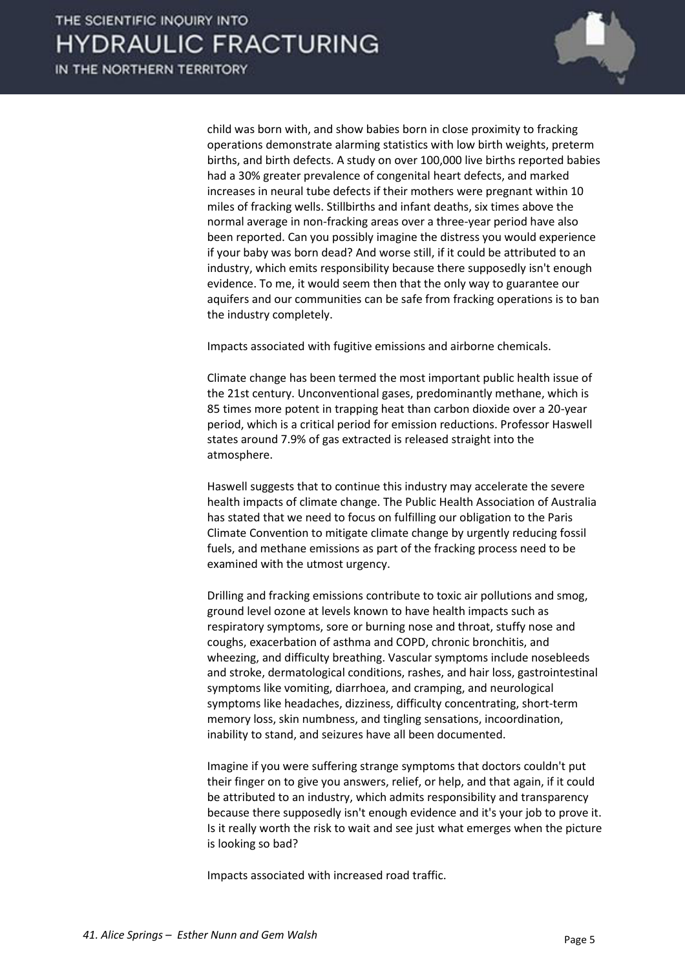

child was born with, and show babies born in close proximity to fracking operations demonstrate alarming statistics with low birth weights, preterm births, and birth defects. A study on over 100,000 live births reported babies had a 30% greater prevalence of congenital heart defects, and marked increases in neural tube defects if their mothers were pregnant within 10 miles of fracking wells. Stillbirths and infant deaths, six times above the normal average in non-fracking areas over a three-year period have also been reported. Can you possibly imagine the distress you would experience if your baby was born dead? And worse still, if it could be attributed to an industry, which emits responsibility because there supposedly isn't enough evidence. To me, it would seem then that the only way to guarantee our aquifers and our communities can be safe from fracking operations is to ban the industry completely.

Impacts associated with fugitive emissions and airborne chemicals.

 Climate change has been termed the most important public health issue of the 21st century. Unconventional gases, predominantly methane, which is 85 times more potent in trapping heat than carbon dioxide over a 20-year period, which is a critical period for emission reductions. Professor Haswell states around 7.9% of gas extracted is released straight into the atmosphere.

 Haswell suggests that to continue this industry may accelerate the severe health impacts of climate change. The Public Health Association of Australia has stated that we need to focus on fulfilling our obligation to the Paris Climate Convention to mitigate climate change by urgently reducing fossil fuels, and methane emissions as part of the fracking process need to be examined with the utmost urgency.

 Drilling and fracking emissions contribute to toxic air pollutions and smog, ground level ozone at levels known to have health impacts such as respiratory symptoms, sore or burning nose and throat, stuffy nose and coughs, exacerbation of asthma and COPD, chronic bronchitis, and wheezing, and difficulty breathing. Vascular symptoms include nosebleeds and stroke, dermatological conditions, rashes, and hair loss, gastrointestinal symptoms like vomiting, diarrhoea, and cramping, and neurological symptoms like headaches, dizziness, difficulty concentrating, short-term memory loss, skin numbness, and tingling sensations, incoordination, inability to stand, and seizures have all been documented.

 Imagine if you were suffering strange symptoms that doctors couldn't put their finger on to give you answers, relief, or help, and that again, if it could be attributed to an industry, which admits responsibility and transparency because there supposedly isn't enough evidence and it's your job to prove it. Is it really worth the risk to wait and see just what emerges when the picture is looking so bad?

Impacts associated with increased road traffic.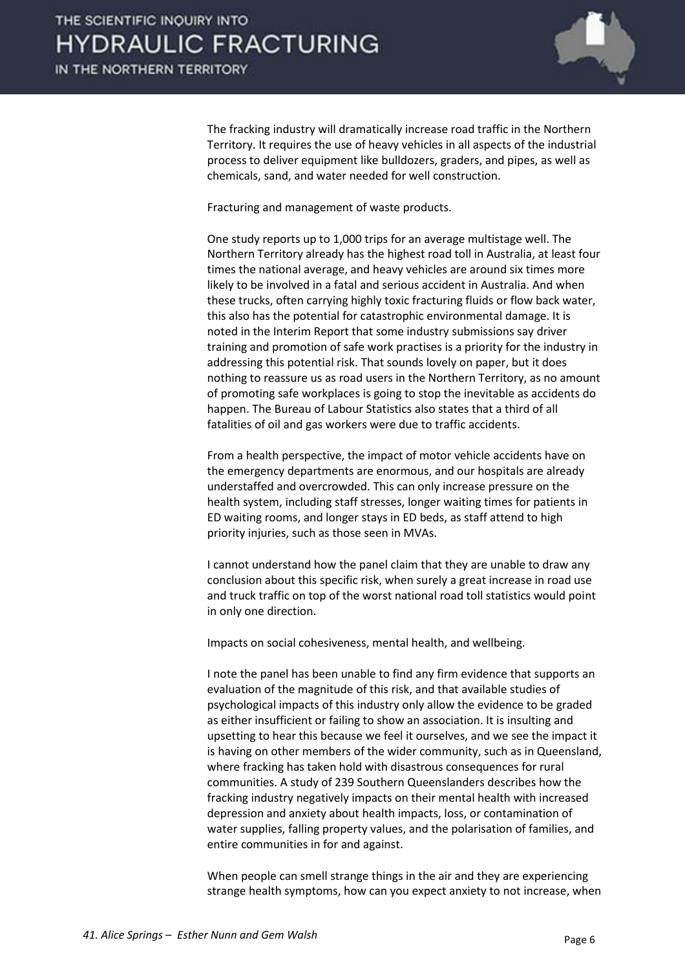

 The fracking industry will dramatically increase road traffic in the Northern Territory. It requires the use of heavy vehicles in all aspects of the industrial process to deliver equipment like bulldozers, graders, and pipes, as well as chemicals, sand, and water needed for well construction.

Fracturing and management of waste products.

 One study reports up to 1,000 trips for an average multistage well. The Northern Territory already has the highest road toll in Australia, at least four times the national average, and heavy vehicles are around six times more likely to be involved in a fatal and serious accident in Australia. And when these trucks, often carrying highly toxic fracturing fluids or flow back water, this also has the potential for catastrophic environmental damage. It is noted in the Interim Report that some industry submissions say driver training and promotion of safe work practises is a priority for the industry in addressing this potential risk. That sounds lovely on paper, but it does nothing to reassure us as road users in the Northern Territory, as no amount of promoting safe workplaces is going to stop the inevitable as accidents do happen. The Bureau of Labour Statistics also states that a third of all fatalities of oil and gas workers were due to traffic accidents.

 From a health perspective, the impact of motor vehicle accidents have on the emergency departments are enormous, and our hospitals are already understaffed and overcrowded. This can only increase pressure on the health system, including staff stresses, longer waiting times for patients in ED waiting rooms, and longer stays in ED beds, as staff attend to high priority injuries, such as those seen in MVAs.

 I cannot understand how the panel claim that they are unable to draw any conclusion about this specific risk, when surely a great increase in road use and truck traffic on top of the worst national road toll statistics would point in only one direction.

Impacts on social cohesiveness, mental health, and wellbeing.

 I note the panel has been unable to find any firm evidence that supports an evaluation of the magnitude of this risk, and that available studies of psychological impacts of this industry only allow the evidence to be graded as either insufficient or failing to show an association. It is insulting and upsetting to hear this because we feel it ourselves, and we see the impact it is having on other members of the wider community, such as in Queensland, where fracking has taken hold with disastrous consequences for rural communities. A study of 239 Southern Queenslanders describes how the fracking industry negatively impacts on their mental health with increased depression and anxiety about health impacts, loss, or contamination of water supplies, falling property values, and the polarisation of families, and entire communities in for and against.

 When people can smell strange things in the air and they are experiencing strange health symptoms, how can you expect anxiety to not increase, when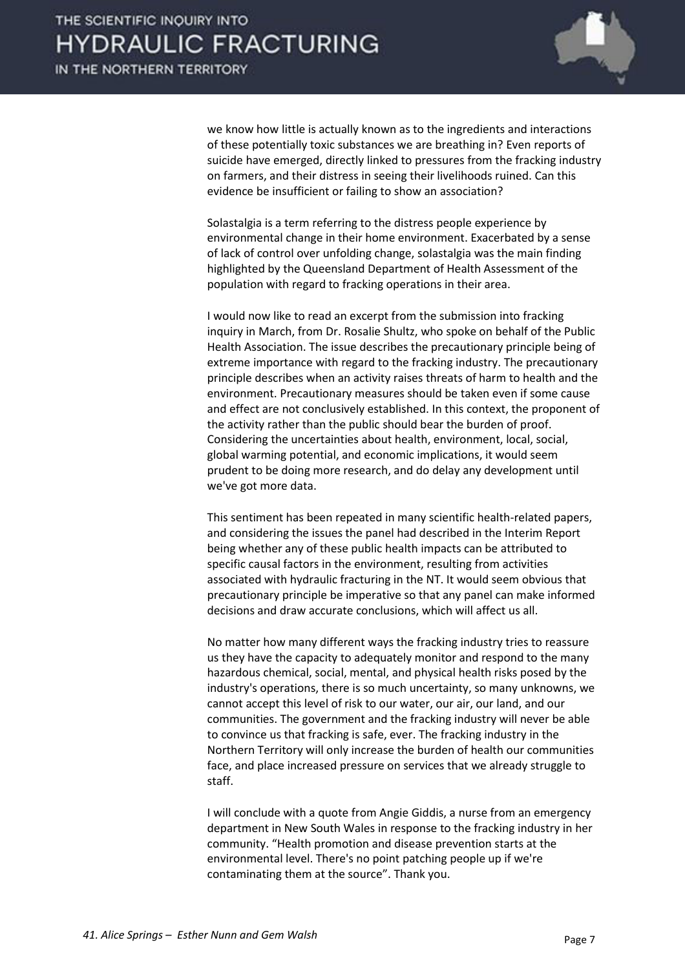

we know how little is actually known as to the ingredients and interactions of these potentially toxic substances we are breathing in? Even reports of suicide have emerged, directly linked to pressures from the fracking industry on farmers, and their distress in seeing their livelihoods ruined. Can this evidence be insufficient or failing to show an association?

 Solastalgia is a term referring to the distress people experience by environmental change in their home environment. Exacerbated by a sense of lack of control over unfolding change, solastalgia was the main finding highlighted by the Queensland Department of Health Assessment of the population with regard to fracking operations in their area.

 I would now like to read an excerpt from the submission into fracking inquiry in March, from Dr. Rosalie Shultz, who spoke on behalf of the Public Health Association. The issue describes the precautionary principle being of extreme importance with regard to the fracking industry. The precautionary principle describes when an activity raises threats of harm to health and the environment. Precautionary measures should be taken even if some cause and effect are not conclusively established. In this context, the proponent of the activity rather than the public should bear the burden of proof. Considering the uncertainties about health, environment, local, social, global warming potential, and economic implications, it would seem prudent to be doing more research, and do delay any development until we've got more data.

 This sentiment has been repeated in many scientific health-related papers, and considering the issues the panel had described in the Interim Report being whether any of these public health impacts can be attributed to specific causal factors in the environment, resulting from activities associated with hydraulic fracturing in the NT. It would seem obvious that precautionary principle be imperative so that any panel can make informed decisions and draw accurate conclusions, which will affect us all.

 No matter how many different ways the fracking industry tries to reassure us they have the capacity to adequately monitor and respond to the many hazardous chemical, social, mental, and physical health risks posed by the industry's operations, there is so much uncertainty, so many unknowns, we cannot accept this level of risk to our water, our air, our land, and our communities. The government and the fracking industry will never be able to convince us that fracking is safe, ever. The fracking industry in the Northern Territory will only increase the burden of health our communities face, and place increased pressure on services that we already struggle to staff.

 I will conclude with a quote from Angie Giddis, a nurse from an emergency department in New South Wales in response to the fracking industry in her community. "Health promotion and disease prevention starts at the environmental level. There's no point patching people up if we're contaminating them at the source". Thank you.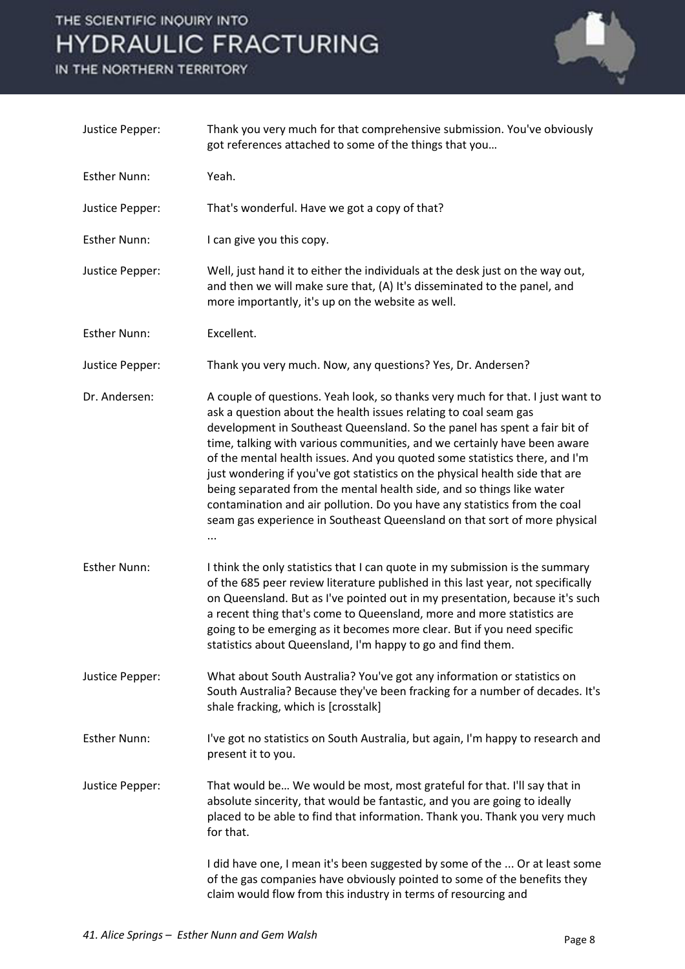

| Justice Pepper:     | Thank you very much for that comprehensive submission. You've obviously<br>got references attached to some of the things that you                                                                                                                                                                                                                                                                                                                                                                                                                                                                                                                                                                            |
|---------------------|--------------------------------------------------------------------------------------------------------------------------------------------------------------------------------------------------------------------------------------------------------------------------------------------------------------------------------------------------------------------------------------------------------------------------------------------------------------------------------------------------------------------------------------------------------------------------------------------------------------------------------------------------------------------------------------------------------------|
| <b>Esther Nunn:</b> | Yeah.                                                                                                                                                                                                                                                                                                                                                                                                                                                                                                                                                                                                                                                                                                        |
| Justice Pepper:     | That's wonderful. Have we got a copy of that?                                                                                                                                                                                                                                                                                                                                                                                                                                                                                                                                                                                                                                                                |
| <b>Esther Nunn:</b> | I can give you this copy.                                                                                                                                                                                                                                                                                                                                                                                                                                                                                                                                                                                                                                                                                    |
| Justice Pepper:     | Well, just hand it to either the individuals at the desk just on the way out,<br>and then we will make sure that, (A) It's disseminated to the panel, and<br>more importantly, it's up on the website as well.                                                                                                                                                                                                                                                                                                                                                                                                                                                                                               |
| <b>Esther Nunn:</b> | Excellent.                                                                                                                                                                                                                                                                                                                                                                                                                                                                                                                                                                                                                                                                                                   |
| Justice Pepper:     | Thank you very much. Now, any questions? Yes, Dr. Andersen?                                                                                                                                                                                                                                                                                                                                                                                                                                                                                                                                                                                                                                                  |
| Dr. Andersen:       | A couple of questions. Yeah look, so thanks very much for that. I just want to<br>ask a question about the health issues relating to coal seam gas<br>development in Southeast Queensland. So the panel has spent a fair bit of<br>time, talking with various communities, and we certainly have been aware<br>of the mental health issues. And you quoted some statistics there, and I'm<br>just wondering if you've got statistics on the physical health side that are<br>being separated from the mental health side, and so things like water<br>contamination and air pollution. Do you have any statistics from the coal<br>seam gas experience in Southeast Queensland on that sort of more physical |
| <b>Esther Nunn:</b> | I think the only statistics that I can quote in my submission is the summary<br>of the 685 peer review literature published in this last year, not specifically<br>on Queensland. But as I've pointed out in my presentation, because it's such<br>a recent thing that's come to Queensland, more and more statistics are<br>going to be emerging as it becomes more clear. But if you need specific<br>statistics about Queensland, I'm happy to go and find them.                                                                                                                                                                                                                                          |
| Justice Pepper:     | What about South Australia? You've got any information or statistics on<br>South Australia? Because they've been fracking for a number of decades. It's<br>shale fracking, which is [crosstalk]                                                                                                                                                                                                                                                                                                                                                                                                                                                                                                              |
| <b>Esther Nunn:</b> | I've got no statistics on South Australia, but again, I'm happy to research and<br>present it to you.                                                                                                                                                                                                                                                                                                                                                                                                                                                                                                                                                                                                        |
| Justice Pepper:     | That would be We would be most, most grateful for that. I'll say that in<br>absolute sincerity, that would be fantastic, and you are going to ideally<br>placed to be able to find that information. Thank you. Thank you very much<br>for that.                                                                                                                                                                                                                                                                                                                                                                                                                                                             |
|                     | I did have one, I mean it's been suggested by some of the  Or at least some<br>of the gas companies have obviously pointed to some of the benefits they<br>claim would flow from this industry in terms of resourcing and                                                                                                                                                                                                                                                                                                                                                                                                                                                                                    |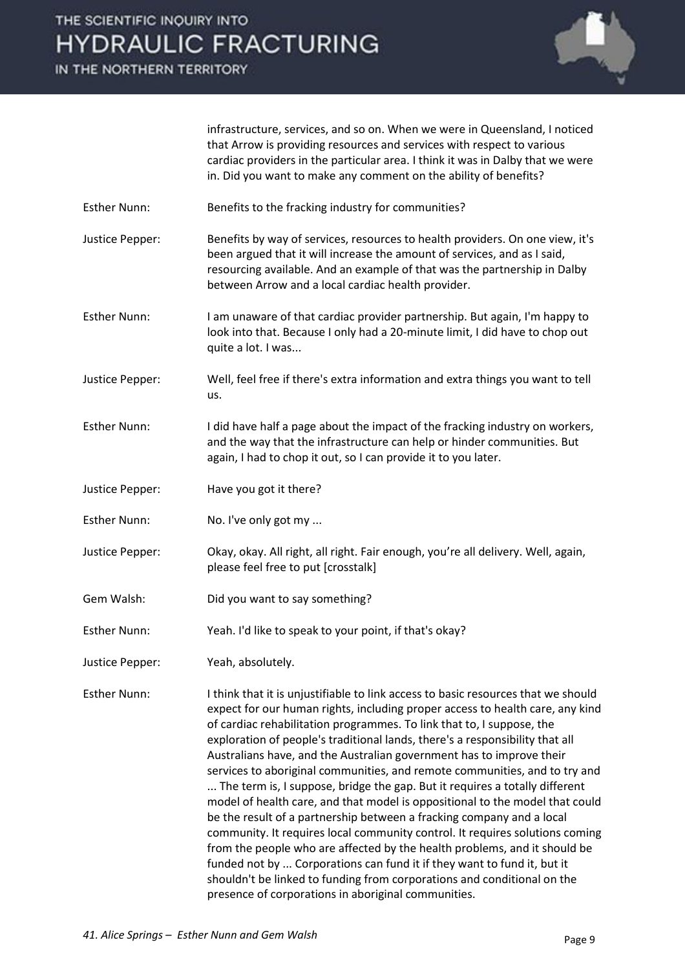IN THE NORTHERN TERRITORY



infrastructure, services, and so on. When we were in Queensland, I noticed that Arrow is providing resources and services with respect to various cardiac providers in the particular area. I think it was in Dalby that we were in. Did you want to make any comment on the ability of benefits?

Esther Nunn: Benefits to the fracking industry for communities?

Justice Pepper: Benefits by way of services, resources to health providers. On one view, it's been argued that it will increase the amount of services, and as I said, resourcing available. And an example of that was the partnership in Dalby between Arrow and a local cardiac health provider.

Esther Nunn: I am unaware of that cardiac provider partnership. But again, I'm happy to look into that. Because I only had a 20-minute limit, I did have to chop out quite a lot. I was...

Justice Pepper: Well, feel free if there's extra information and extra things you want to tell us.

Esther Nunn: I did have half a page about the impact of the fracking industry on workers, and the way that the infrastructure can help or hinder communities. But again, I had to chop it out, so I can provide it to you later.

- Justice Pepper: Have you got it there?
- Esther Nunn: No. I've only got my ...

Justice Pepper: Okay, okay. All right, all right. Fair enough, you're all delivery. Well, again, please feel free to put [crosstalk]

- Gem Walsh: Did you want to say something?
- Esther Nunn: Yeah. I'd like to speak to your point, if that's okay?
- Justice Pepper: Yeah, absolutely.

Esther Nunn: I think that it is unjustifiable to link access to basic resources that we should expect for our human rights, including proper access to health care, any kind of cardiac rehabilitation programmes. To link that to, I suppose, the exploration of people's traditional lands, there's a responsibility that all Australians have, and the Australian government has to improve their services to aboriginal communities, and remote communities, and to try and ... The term is, I suppose, bridge the gap. But it requires a totally different model of health care, and that model is oppositional to the model that could be the result of a partnership between a fracking company and a local community. It requires local community control. It requires solutions coming from the people who are affected by the health problems, and it should be funded not by ... Corporations can fund it if they want to fund it, but it shouldn't be linked to funding from corporations and conditional on the presence of corporations in aboriginal communities.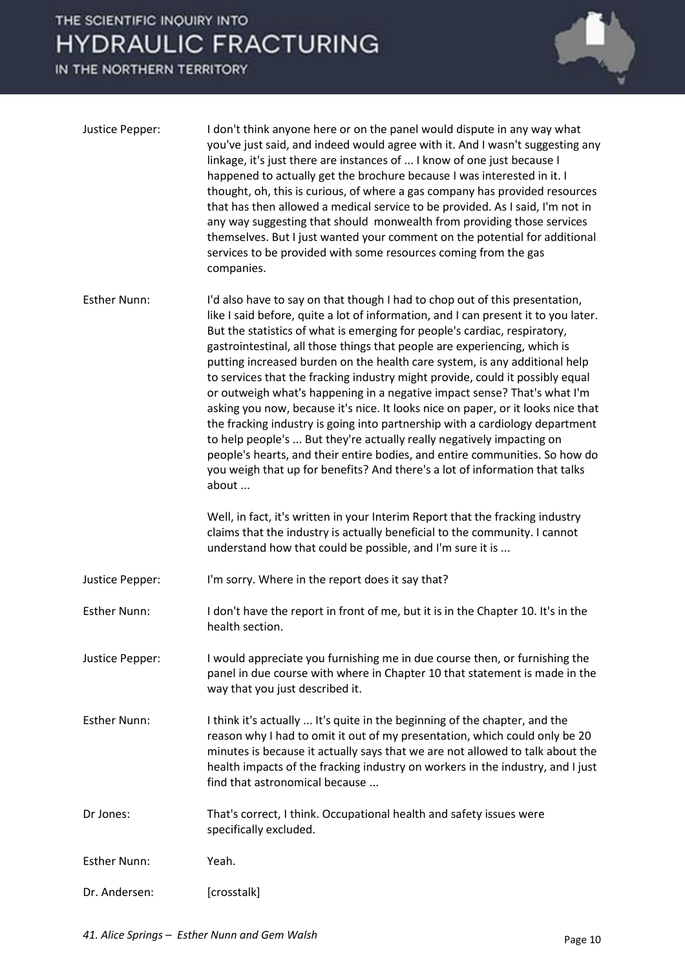

| Justice Pepper:     | I don't think anyone here or on the panel would dispute in any way what<br>you've just said, and indeed would agree with it. And I wasn't suggesting any<br>linkage, it's just there are instances of  I know of one just because I<br>happened to actually get the brochure because I was interested in it. I<br>thought, oh, this is curious, of where a gas company has provided resources<br>that has then allowed a medical service to be provided. As I said, I'm not in<br>any way suggesting that should monwealth from providing those services<br>themselves. But I just wanted your comment on the potential for additional<br>services to be provided with some resources coming from the gas<br>companies.                                                                                                                                                                                                                                                                    |
|---------------------|--------------------------------------------------------------------------------------------------------------------------------------------------------------------------------------------------------------------------------------------------------------------------------------------------------------------------------------------------------------------------------------------------------------------------------------------------------------------------------------------------------------------------------------------------------------------------------------------------------------------------------------------------------------------------------------------------------------------------------------------------------------------------------------------------------------------------------------------------------------------------------------------------------------------------------------------------------------------------------------------|
| <b>Esther Nunn:</b> | I'd also have to say on that though I had to chop out of this presentation,<br>like I said before, quite a lot of information, and I can present it to you later.<br>But the statistics of what is emerging for people's cardiac, respiratory,<br>gastrointestinal, all those things that people are experiencing, which is<br>putting increased burden on the health care system, is any additional help<br>to services that the fracking industry might provide, could it possibly equal<br>or outweigh what's happening in a negative impact sense? That's what I'm<br>asking you now, because it's nice. It looks nice on paper, or it looks nice that<br>the fracking industry is going into partnership with a cardiology department<br>to help people's  But they're actually really negatively impacting on<br>people's hearts, and their entire bodies, and entire communities. So how do<br>you weigh that up for benefits? And there's a lot of information that talks<br>about |
|                     | Well, in fact, it's written in your Interim Report that the fracking industry<br>claims that the industry is actually beneficial to the community. I cannot<br>understand how that could be possible, and I'm sure it is                                                                                                                                                                                                                                                                                                                                                                                                                                                                                                                                                                                                                                                                                                                                                                   |
| Justice Pepper:     | I'm sorry. Where in the report does it say that?                                                                                                                                                                                                                                                                                                                                                                                                                                                                                                                                                                                                                                                                                                                                                                                                                                                                                                                                           |
| <b>Esther Nunn:</b> | I don't have the report in front of me, but it is in the Chapter 10. It's in the<br>health section.                                                                                                                                                                                                                                                                                                                                                                                                                                                                                                                                                                                                                                                                                                                                                                                                                                                                                        |
| Justice Pepper:     | I would appreciate you furnishing me in due course then, or furnishing the<br>panel in due course with where in Chapter 10 that statement is made in the<br>way that you just described it.                                                                                                                                                                                                                                                                                                                                                                                                                                                                                                                                                                                                                                                                                                                                                                                                |
| <b>Esther Nunn:</b> | I think it's actually  It's quite in the beginning of the chapter, and the<br>reason why I had to omit it out of my presentation, which could only be 20<br>minutes is because it actually says that we are not allowed to talk about the<br>health impacts of the fracking industry on workers in the industry, and I just<br>find that astronomical because                                                                                                                                                                                                                                                                                                                                                                                                                                                                                                                                                                                                                              |
| Dr Jones:           | That's correct, I think. Occupational health and safety issues were<br>specifically excluded.                                                                                                                                                                                                                                                                                                                                                                                                                                                                                                                                                                                                                                                                                                                                                                                                                                                                                              |
| <b>Esther Nunn:</b> | Yeah.                                                                                                                                                                                                                                                                                                                                                                                                                                                                                                                                                                                                                                                                                                                                                                                                                                                                                                                                                                                      |
| Dr. Andersen:       | [crosstalk]                                                                                                                                                                                                                                                                                                                                                                                                                                                                                                                                                                                                                                                                                                                                                                                                                                                                                                                                                                                |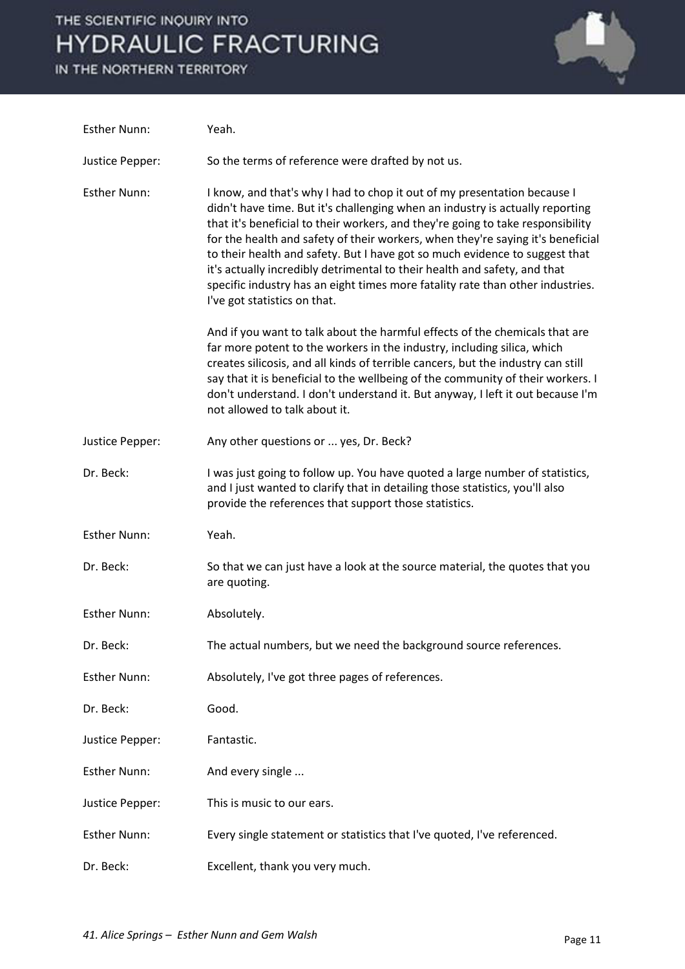

| <b>Esther Nunn:</b> | Yeah.                                                                                                                                                                                                                                                                                                                                                                                                                                                                                                                                                                                                         |
|---------------------|---------------------------------------------------------------------------------------------------------------------------------------------------------------------------------------------------------------------------------------------------------------------------------------------------------------------------------------------------------------------------------------------------------------------------------------------------------------------------------------------------------------------------------------------------------------------------------------------------------------|
| Justice Pepper:     | So the terms of reference were drafted by not us.                                                                                                                                                                                                                                                                                                                                                                                                                                                                                                                                                             |
| <b>Esther Nunn:</b> | I know, and that's why I had to chop it out of my presentation because I<br>didn't have time. But it's challenging when an industry is actually reporting<br>that it's beneficial to their workers, and they're going to take responsibility<br>for the health and safety of their workers, when they're saying it's beneficial<br>to their health and safety. But I have got so much evidence to suggest that<br>it's actually incredibly detrimental to their health and safety, and that<br>specific industry has an eight times more fatality rate than other industries.<br>I've got statistics on that. |
|                     | And if you want to talk about the harmful effects of the chemicals that are<br>far more potent to the workers in the industry, including silica, which<br>creates silicosis, and all kinds of terrible cancers, but the industry can still<br>say that it is beneficial to the wellbeing of the community of their workers. I<br>don't understand. I don't understand it. But anyway, I left it out because I'm<br>not allowed to talk about it.                                                                                                                                                              |
| Justice Pepper:     | Any other questions or  yes, Dr. Beck?                                                                                                                                                                                                                                                                                                                                                                                                                                                                                                                                                                        |
| Dr. Beck:           | I was just going to follow up. You have quoted a large number of statistics,<br>and I just wanted to clarify that in detailing those statistics, you'll also<br>provide the references that support those statistics.                                                                                                                                                                                                                                                                                                                                                                                         |
| <b>Esther Nunn:</b> | Yeah.                                                                                                                                                                                                                                                                                                                                                                                                                                                                                                                                                                                                         |
| Dr. Beck:           | So that we can just have a look at the source material, the quotes that you<br>are quoting.                                                                                                                                                                                                                                                                                                                                                                                                                                                                                                                   |
| <b>Esther Nunn:</b> | Absolutely.                                                                                                                                                                                                                                                                                                                                                                                                                                                                                                                                                                                                   |
| Dr. Beck:           | The actual numbers, but we need the background source references.                                                                                                                                                                                                                                                                                                                                                                                                                                                                                                                                             |
| <b>Esther Nunn:</b> | Absolutely, I've got three pages of references.                                                                                                                                                                                                                                                                                                                                                                                                                                                                                                                                                               |
| Dr. Beck:           | Good.                                                                                                                                                                                                                                                                                                                                                                                                                                                                                                                                                                                                         |
| Justice Pepper:     | Fantastic.                                                                                                                                                                                                                                                                                                                                                                                                                                                                                                                                                                                                    |
| <b>Esther Nunn:</b> | And every single                                                                                                                                                                                                                                                                                                                                                                                                                                                                                                                                                                                              |
| Justice Pepper:     | This is music to our ears.                                                                                                                                                                                                                                                                                                                                                                                                                                                                                                                                                                                    |
| <b>Esther Nunn:</b> | Every single statement or statistics that I've quoted, I've referenced.                                                                                                                                                                                                                                                                                                                                                                                                                                                                                                                                       |
| Dr. Beck:           | Excellent, thank you very much.                                                                                                                                                                                                                                                                                                                                                                                                                                                                                                                                                                               |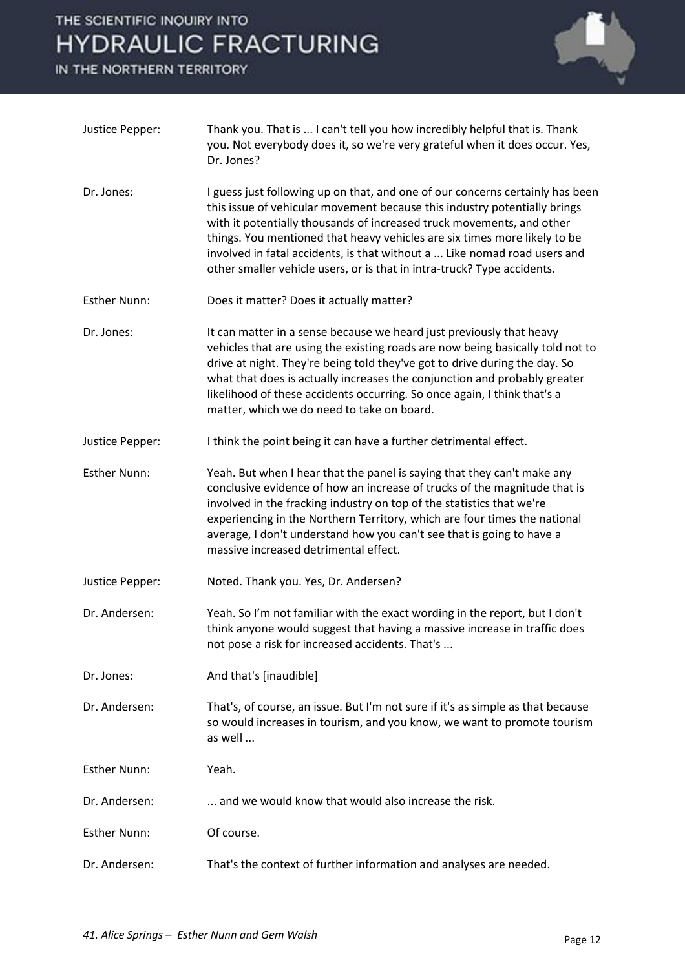

| Justice Pepper:     | Thank you. That is  I can't tell you how incredibly helpful that is. Thank<br>you. Not everybody does it, so we're very grateful when it does occur. Yes,<br>Dr. Jones?                                                                                                                                                                                                                                                                                                  |
|---------------------|--------------------------------------------------------------------------------------------------------------------------------------------------------------------------------------------------------------------------------------------------------------------------------------------------------------------------------------------------------------------------------------------------------------------------------------------------------------------------|
| Dr. Jones:          | I guess just following up on that, and one of our concerns certainly has been<br>this issue of vehicular movement because this industry potentially brings<br>with it potentially thousands of increased truck movements, and other<br>things. You mentioned that heavy vehicles are six times more likely to be<br>involved in fatal accidents, is that without a  Like nomad road users and<br>other smaller vehicle users, or is that in intra-truck? Type accidents. |
| <b>Esther Nunn:</b> | Does it matter? Does it actually matter?                                                                                                                                                                                                                                                                                                                                                                                                                                 |
| Dr. Jones:          | It can matter in a sense because we heard just previously that heavy<br>vehicles that are using the existing roads are now being basically told not to<br>drive at night. They're being told they've got to drive during the day. So<br>what that does is actually increases the conjunction and probably greater<br>likelihood of these accidents occurring. So once again, I think that's a<br>matter, which we do need to take on board.                              |
| Justice Pepper:     | I think the point being it can have a further detrimental effect.                                                                                                                                                                                                                                                                                                                                                                                                        |
| <b>Esther Nunn:</b> | Yeah. But when I hear that the panel is saying that they can't make any<br>conclusive evidence of how an increase of trucks of the magnitude that is<br>involved in the fracking industry on top of the statistics that we're<br>experiencing in the Northern Territory, which are four times the national<br>average, I don't understand how you can't see that is going to have a<br>massive increased detrimental effect.                                             |
| Justice Pepper:     | Noted. Thank you. Yes, Dr. Andersen?                                                                                                                                                                                                                                                                                                                                                                                                                                     |
| Dr. Andersen:       | Yeah. So I'm not familiar with the exact wording in the report, but I don't<br>think anyone would suggest that having a massive increase in traffic does<br>not pose a risk for increased accidents. That's                                                                                                                                                                                                                                                              |
| Dr. Jones:          | And that's [inaudible]                                                                                                                                                                                                                                                                                                                                                                                                                                                   |
| Dr. Andersen:       | That's, of course, an issue. But I'm not sure if it's as simple as that because<br>so would increases in tourism, and you know, we want to promote tourism<br>as well                                                                                                                                                                                                                                                                                                    |
| <b>Esther Nunn:</b> | Yeah.                                                                                                                                                                                                                                                                                                                                                                                                                                                                    |
| Dr. Andersen:       | and we would know that would also increase the risk.                                                                                                                                                                                                                                                                                                                                                                                                                     |
| <b>Esther Nunn:</b> | Of course.                                                                                                                                                                                                                                                                                                                                                                                                                                                               |
| Dr. Andersen:       | That's the context of further information and analyses are needed.                                                                                                                                                                                                                                                                                                                                                                                                       |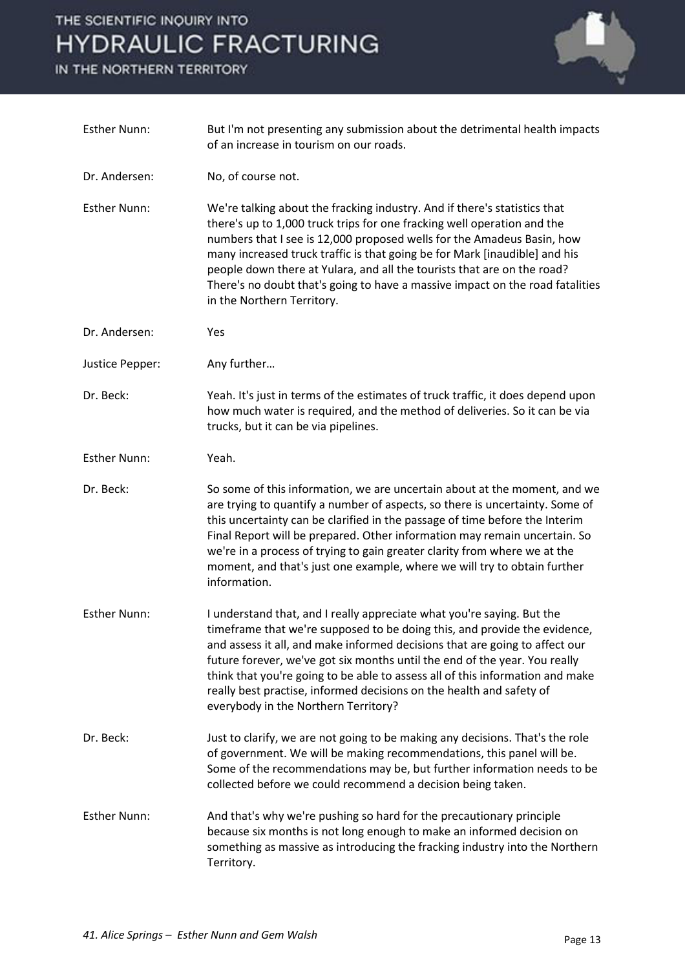

| <b>Esther Nunn:</b> | But I'm not presenting any submission about the detrimental health impacts<br>of an increase in tourism on our roads.                                                                                                                                                                                                                                                                                                                                                                                             |
|---------------------|-------------------------------------------------------------------------------------------------------------------------------------------------------------------------------------------------------------------------------------------------------------------------------------------------------------------------------------------------------------------------------------------------------------------------------------------------------------------------------------------------------------------|
| Dr. Andersen:       | No, of course not.                                                                                                                                                                                                                                                                                                                                                                                                                                                                                                |
| <b>Esther Nunn:</b> | We're talking about the fracking industry. And if there's statistics that<br>there's up to 1,000 truck trips for one fracking well operation and the<br>numbers that I see is 12,000 proposed wells for the Amadeus Basin, how<br>many increased truck traffic is that going be for Mark [inaudible] and his<br>people down there at Yulara, and all the tourists that are on the road?<br>There's no doubt that's going to have a massive impact on the road fatalities<br>in the Northern Territory.            |
| Dr. Andersen:       | Yes                                                                                                                                                                                                                                                                                                                                                                                                                                                                                                               |
| Justice Pepper:     | Any further                                                                                                                                                                                                                                                                                                                                                                                                                                                                                                       |
| Dr. Beck:           | Yeah. It's just in terms of the estimates of truck traffic, it does depend upon<br>how much water is required, and the method of deliveries. So it can be via<br>trucks, but it can be via pipelines.                                                                                                                                                                                                                                                                                                             |
| <b>Esther Nunn:</b> | Yeah.                                                                                                                                                                                                                                                                                                                                                                                                                                                                                                             |
| Dr. Beck:           | So some of this information, we are uncertain about at the moment, and we<br>are trying to quantify a number of aspects, so there is uncertainty. Some of<br>this uncertainty can be clarified in the passage of time before the Interim<br>Final Report will be prepared. Other information may remain uncertain. So<br>we're in a process of trying to gain greater clarity from where we at the<br>moment, and that's just one example, where we will try to obtain further<br>information.                    |
| <b>Esther Nunn:</b> | I understand that, and I really appreciate what you're saying. But the<br>timeframe that we're supposed to be doing this, and provide the evidence,<br>and assess it all, and make informed decisions that are going to affect our<br>future forever, we've got six months until the end of the year. You really<br>think that you're going to be able to assess all of this information and make<br>really best practise, informed decisions on the health and safety of<br>everybody in the Northern Territory? |
| Dr. Beck:           | Just to clarify, we are not going to be making any decisions. That's the role<br>of government. We will be making recommendations, this panel will be.<br>Some of the recommendations may be, but further information needs to be<br>collected before we could recommend a decision being taken.                                                                                                                                                                                                                  |
| <b>Esther Nunn:</b> | And that's why we're pushing so hard for the precautionary principle<br>because six months is not long enough to make an informed decision on<br>something as massive as introducing the fracking industry into the Northern<br>Territory.                                                                                                                                                                                                                                                                        |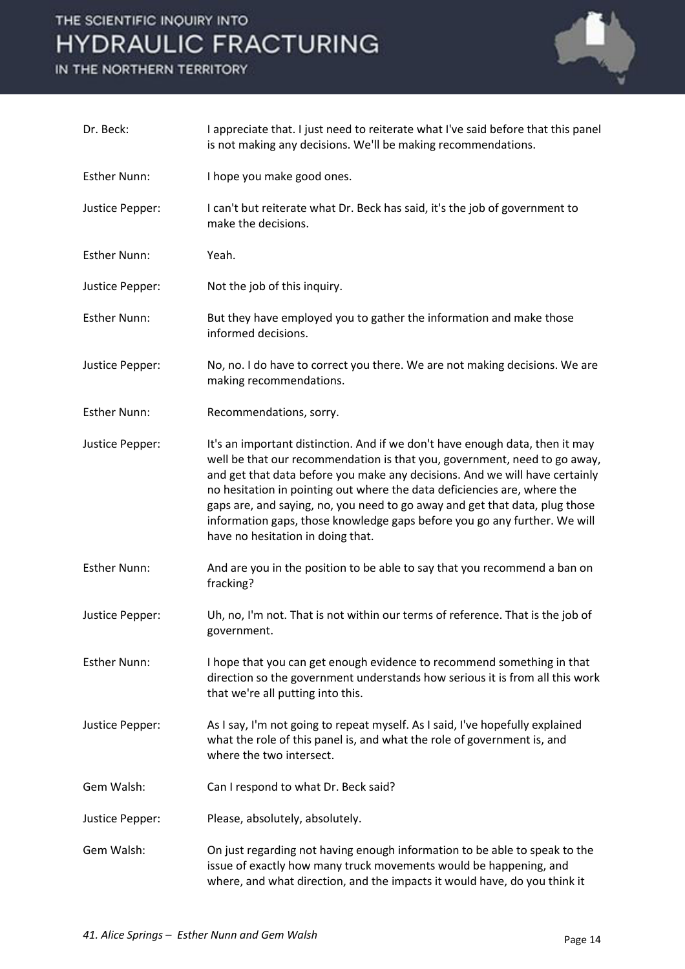

| Dr. Beck:           | I appreciate that. I just need to reiterate what I've said before that this panel<br>is not making any decisions. We'll be making recommendations.                                                                                                                                                                                                                                                                                                                                                                    |
|---------------------|-----------------------------------------------------------------------------------------------------------------------------------------------------------------------------------------------------------------------------------------------------------------------------------------------------------------------------------------------------------------------------------------------------------------------------------------------------------------------------------------------------------------------|
| <b>Esther Nunn:</b> | I hope you make good ones.                                                                                                                                                                                                                                                                                                                                                                                                                                                                                            |
| Justice Pepper:     | I can't but reiterate what Dr. Beck has said, it's the job of government to<br>make the decisions.                                                                                                                                                                                                                                                                                                                                                                                                                    |
| <b>Esther Nunn:</b> | Yeah.                                                                                                                                                                                                                                                                                                                                                                                                                                                                                                                 |
| Justice Pepper:     | Not the job of this inquiry.                                                                                                                                                                                                                                                                                                                                                                                                                                                                                          |
| <b>Esther Nunn:</b> | But they have employed you to gather the information and make those<br>informed decisions.                                                                                                                                                                                                                                                                                                                                                                                                                            |
| Justice Pepper:     | No, no. I do have to correct you there. We are not making decisions. We are<br>making recommendations.                                                                                                                                                                                                                                                                                                                                                                                                                |
| <b>Esther Nunn:</b> | Recommendations, sorry.                                                                                                                                                                                                                                                                                                                                                                                                                                                                                               |
| Justice Pepper:     | It's an important distinction. And if we don't have enough data, then it may<br>well be that our recommendation is that you, government, need to go away,<br>and get that data before you make any decisions. And we will have certainly<br>no hesitation in pointing out where the data deficiencies are, where the<br>gaps are, and saying, no, you need to go away and get that data, plug those<br>information gaps, those knowledge gaps before you go any further. We will<br>have no hesitation in doing that. |
| <b>Esther Nunn:</b> | And are you in the position to be able to say that you recommend a ban on<br>fracking?                                                                                                                                                                                                                                                                                                                                                                                                                                |
| Justice Pepper:     | Uh, no, I'm not. That is not within our terms of reference. That is the job of<br>government.                                                                                                                                                                                                                                                                                                                                                                                                                         |
| <b>Esther Nunn:</b> | I hope that you can get enough evidence to recommend something in that<br>direction so the government understands how serious it is from all this work<br>that we're all putting into this.                                                                                                                                                                                                                                                                                                                           |
| Justice Pepper:     | As I say, I'm not going to repeat myself. As I said, I've hopefully explained<br>what the role of this panel is, and what the role of government is, and<br>where the two intersect.                                                                                                                                                                                                                                                                                                                                  |
| Gem Walsh:          | Can I respond to what Dr. Beck said?                                                                                                                                                                                                                                                                                                                                                                                                                                                                                  |
| Justice Pepper:     | Please, absolutely, absolutely.                                                                                                                                                                                                                                                                                                                                                                                                                                                                                       |
| Gem Walsh:          | On just regarding not having enough information to be able to speak to the<br>issue of exactly how many truck movements would be happening, and<br>where, and what direction, and the impacts it would have, do you think it                                                                                                                                                                                                                                                                                          |